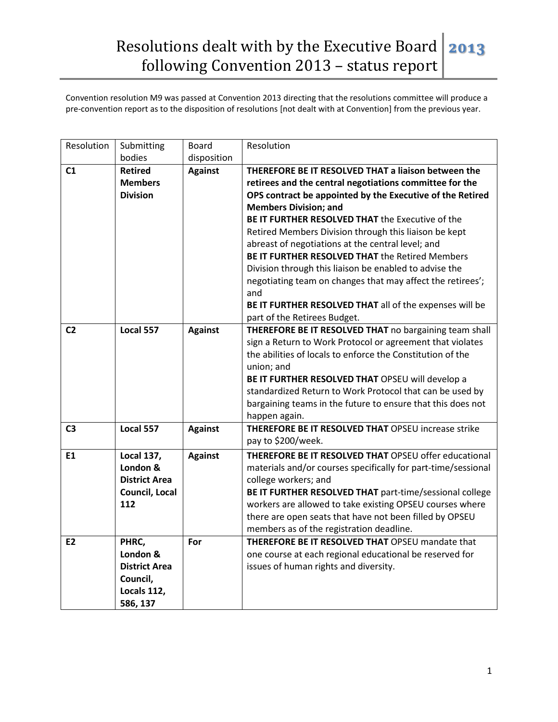| Resolution     | Submitting            | Board          | Resolution                                                        |
|----------------|-----------------------|----------------|-------------------------------------------------------------------|
|                | bodies                | disposition    |                                                                   |
| C1             | <b>Retired</b>        | <b>Against</b> | THEREFORE BE IT RESOLVED THAT a liaison between the               |
|                | <b>Members</b>        |                | retirees and the central negotiations committee for the           |
|                | <b>Division</b>       |                | OPS contract be appointed by the Executive of the Retired         |
|                |                       |                | <b>Members Division; and</b>                                      |
|                |                       |                | BE IT FURTHER RESOLVED THAT the Executive of the                  |
|                |                       |                | Retired Members Division through this liaison be kept             |
|                |                       |                | abreast of negotiations at the central level; and                 |
|                |                       |                | BE IT FURTHER RESOLVED THAT the Retired Members                   |
|                |                       |                | Division through this liaison be enabled to advise the            |
|                |                       |                | negotiating team on changes that may affect the retirees';<br>and |
|                |                       |                | BE IT FURTHER RESOLVED THAT all of the expenses will be           |
|                |                       |                | part of the Retirees Budget.                                      |
| C <sub>2</sub> | Local 557             | <b>Against</b> | THEREFORE BE IT RESOLVED THAT no bargaining team shall            |
|                |                       |                | sign a Return to Work Protocol or agreement that violates         |
|                |                       |                | the abilities of locals to enforce the Constitution of the        |
|                |                       |                | union; and                                                        |
|                |                       |                | BE IT FURTHER RESOLVED THAT OPSEU will develop a                  |
|                |                       |                | standardized Return to Work Protocol that can be used by          |
|                |                       |                | bargaining teams in the future to ensure that this does not       |
|                |                       |                | happen again.                                                     |
| C <sub>3</sub> | Local 557             | <b>Against</b> | THEREFORE BE IT RESOLVED THAT OPSEU increase strike               |
|                |                       |                | pay to \$200/week.                                                |
| E1             | <b>Local 137,</b>     | <b>Against</b> | THEREFORE BE IT RESOLVED THAT OPSEU offer educational             |
|                | London &              |                | materials and/or courses specifically for part-time/sessional     |
|                | <b>District Area</b>  |                | college workers; and                                              |
|                | <b>Council, Local</b> |                | BE IT FURTHER RESOLVED THAT part-time/sessional college           |
|                | 112                   |                | workers are allowed to take existing OPSEU courses where          |
|                |                       |                | there are open seats that have not been filled by OPSEU           |
|                |                       |                | members as of the registration deadline.                          |
| E <sub>2</sub> | PHRC,                 | For            | THEREFORE BE IT RESOLVED THAT OPSEU mandate that                  |
|                | London &              |                | one course at each regional educational be reserved for           |
|                | <b>District Area</b>  |                | issues of human rights and diversity.                             |
|                | Council,              |                |                                                                   |
|                | Locals 112,           |                |                                                                   |
|                | 586, 137              |                |                                                                   |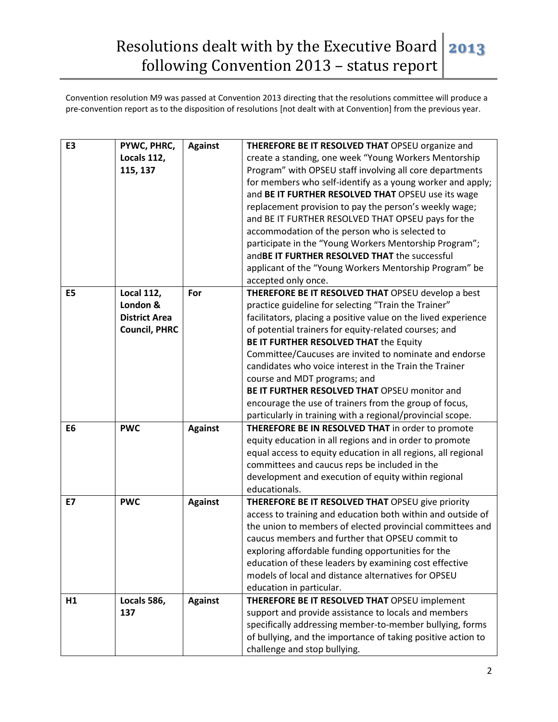| E <sub>3</sub> | PYWC, PHRC,<br>Locals 112,<br>115, 137                                        | <b>Against</b> | THEREFORE BE IT RESOLVED THAT OPSEU organize and<br>create a standing, one week "Young Workers Mentorship<br>Program" with OPSEU staff involving all core departments<br>for members who self-identify as a young worker and apply;<br>and BE IT FURTHER RESOLVED THAT OPSEU use its wage<br>replacement provision to pay the person's weekly wage;<br>and BE IT FURTHER RESOLVED THAT OPSEU pays for the<br>accommodation of the person who is selected to<br>participate in the "Young Workers Mentorship Program";<br>and BE IT FURTHER RESOLVED THAT the successful                                      |
|----------------|-------------------------------------------------------------------------------|----------------|--------------------------------------------------------------------------------------------------------------------------------------------------------------------------------------------------------------------------------------------------------------------------------------------------------------------------------------------------------------------------------------------------------------------------------------------------------------------------------------------------------------------------------------------------------------------------------------------------------------|
|                |                                                                               |                | applicant of the "Young Workers Mentorship Program" be<br>accepted only once.                                                                                                                                                                                                                                                                                                                                                                                                                                                                                                                                |
| E <sub>5</sub> | <b>Local 112,</b><br>London &<br><b>District Area</b><br><b>Council, PHRC</b> | For            | THEREFORE BE IT RESOLVED THAT OPSEU develop a best<br>practice guideline for selecting "Train the Trainer"<br>facilitators, placing a positive value on the lived experience<br>of potential trainers for equity-related courses; and<br>BE IT FURTHER RESOLVED THAT the Equity<br>Committee/Caucuses are invited to nominate and endorse<br>candidates who voice interest in the Train the Trainer<br>course and MDT programs; and<br>BE IT FURTHER RESOLVED THAT OPSEU monitor and<br>encourage the use of trainers from the group of focus,<br>particularly in training with a regional/provincial scope. |
| E <sub>6</sub> | <b>PWC</b>                                                                    | <b>Against</b> | THEREFORE BE IN RESOLVED THAT in order to promote<br>equity education in all regions and in order to promote<br>equal access to equity education in all regions, all regional<br>committees and caucus reps be included in the<br>development and execution of equity within regional<br>educationals.                                                                                                                                                                                                                                                                                                       |
| E7             | <b>PWC</b>                                                                    | <b>Against</b> | THEREFORE BE IT RESOLVED THAT OPSEU give priority<br>access to training and education both within and outside of<br>the union to members of elected provincial committees and<br>caucus members and further that OPSEU commit to<br>exploring affordable funding opportunities for the<br>education of these leaders by examining cost effective<br>models of local and distance alternatives for OPSEU<br>education in particular.                                                                                                                                                                          |
| H1             | Locals 586,<br>137                                                            | <b>Against</b> | THEREFORE BE IT RESOLVED THAT OPSEU implement<br>support and provide assistance to locals and members<br>specifically addressing member-to-member bullying, forms<br>of bullying, and the importance of taking positive action to<br>challenge and stop bullying.                                                                                                                                                                                                                                                                                                                                            |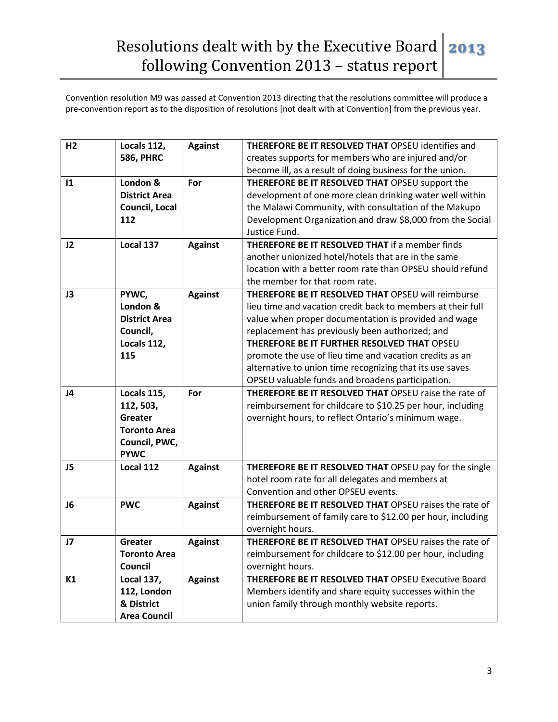| H <sub>2</sub> | Locals 112,          | <b>Against</b> | <b>THEREFORE BE IT RESOLVED THAT OPSEU identifies and</b>    |
|----------------|----------------------|----------------|--------------------------------------------------------------|
|                | <b>586, PHRC</b>     |                | creates supports for members who are injured and/or          |
|                |                      |                | become ill, as a result of doing business for the union.     |
| 1              | London &             | For            | THEREFORE BE IT RESOLVED THAT OPSEU support the              |
|                | <b>District Area</b> |                | development of one more clean drinking water well within     |
|                | Council, Local       |                | the Malawi Community, with consultation of the Makupo        |
|                | 112                  |                | Development Organization and draw \$8,000 from the Social    |
|                |                      |                | Justice Fund.                                                |
| J2             | Local 137            | <b>Against</b> | <b>THEREFORE BE IT RESOLVED THAT if a member finds</b>       |
|                |                      |                | another unionized hotel/hotels that are in the same          |
|                |                      |                | location with a better room rate than OPSEU should refund    |
|                |                      |                | the member for that room rate.                               |
| J3             | PYWC,                | <b>Against</b> | THEREFORE BE IT RESOLVED THAT OPSEU will reimburse           |
|                | London &             |                | lieu time and vacation credit back to members at their full  |
|                | <b>District Area</b> |                | value when proper documentation is provided and wage         |
|                | Council,             |                | replacement has previously been authorized; and              |
|                | Locals 112,          |                | THEREFORE BE IT FURTHER RESOLVED THAT OPSEU                  |
|                | 115                  |                | promote the use of lieu time and vacation credits as an      |
|                |                      |                | alternative to union time recognizing that its use saves     |
|                |                      |                | OPSEU valuable funds and broadens participation.             |
| J <sub>4</sub> | Locals 115,          | For            | <b>THEREFORE BE IT RESOLVED THAT OPSEU raise the rate of</b> |
|                | 112, 503,            |                | reimbursement for childcare to \$10.25 per hour, including   |
|                | <b>Greater</b>       |                | overnight hours, to reflect Ontario's minimum wage.          |
|                | <b>Toronto Area</b>  |                |                                                              |
|                | Council, PWC,        |                |                                                              |
|                | <b>PYWC</b>          |                |                                                              |
| J5             | Local 112            | <b>Against</b> | THEREFORE BE IT RESOLVED THAT OPSEU pay for the single       |
|                |                      |                | hotel room rate for all delegates and members at             |
|                |                      |                | Convention and other OPSEU events.                           |
| J <sub>6</sub> | <b>PWC</b>           | <b>Against</b> | THEREFORE BE IT RESOLVED THAT OPSEU raises the rate of       |
|                |                      |                | reimbursement of family care to \$12.00 per hour, including  |
|                |                      |                | overnight hours.                                             |
| J7             | Greater              | <b>Against</b> | THEREFORE BE IT RESOLVED THAT OPSEU raises the rate of       |
|                | <b>Toronto Area</b>  |                | reimbursement for childcare to \$12.00 per hour, including   |
|                | Council              |                | overnight hours.                                             |
| K1             | <b>Local 137,</b>    | <b>Against</b> | THEREFORE BE IT RESOLVED THAT OPSEU Executive Board          |
|                | 112, London          |                | Members identify and share equity successes within the       |
|                | & District           |                | union family through monthly website reports.                |
|                | <b>Area Council</b>  |                |                                                              |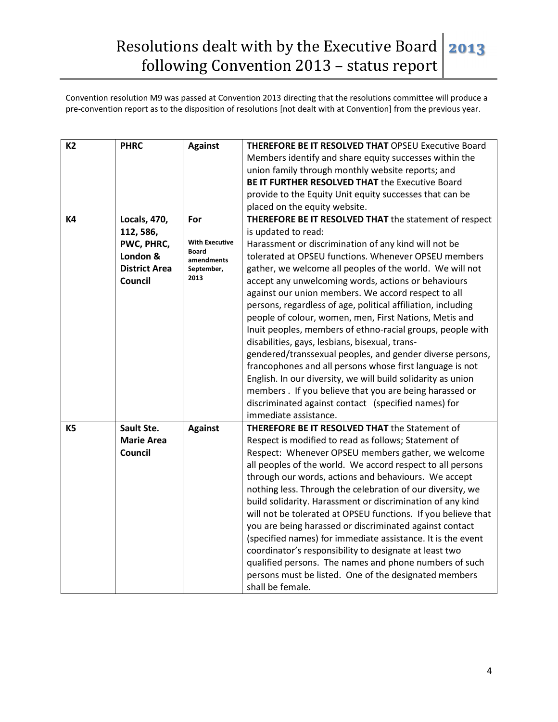| <b>K2</b> | <b>PHRC</b>          | <b>Against</b>             | THEREFORE BE IT RESOLVED THAT OPSEU Executive Board           |
|-----------|----------------------|----------------------------|---------------------------------------------------------------|
|           |                      |                            | Members identify and share equity successes within the        |
|           |                      |                            | union family through monthly website reports; and             |
|           |                      |                            | BE IT FURTHER RESOLVED THAT the Executive Board               |
|           |                      |                            | provide to the Equity Unit equity successes that can be       |
|           |                      |                            | placed on the equity website.                                 |
| <b>K4</b> | <b>Locals, 470,</b>  | For                        | THEREFORE BE IT RESOLVED THAT the statement of respect        |
|           | 112, 586,            |                            | is updated to read:                                           |
|           | PWC, PHRC,           | <b>With Executive</b>      | Harassment or discrimination of any kind will not be          |
|           | London &             | <b>Board</b><br>amendments | tolerated at OPSEU functions. Whenever OPSEU members          |
|           | <b>District Area</b> | September,                 | gather, we welcome all peoples of the world. We will not      |
|           | Council              | 2013                       | accept any unwelcoming words, actions or behaviours           |
|           |                      |                            | against our union members. We accord respect to all           |
|           |                      |                            | persons, regardless of age, political affiliation, including  |
|           |                      |                            | people of colour, women, men, First Nations, Metis and        |
|           |                      |                            | Inuit peoples, members of ethno-racial groups, people with    |
|           |                      |                            | disabilities, gays, lesbians, bisexual, trans-                |
|           |                      |                            | gendered/transsexual peoples, and gender diverse persons,     |
|           |                      |                            | francophones and all persons whose first language is not      |
|           |                      |                            | English. In our diversity, we will build solidarity as union  |
|           |                      |                            | members. If you believe that you are being harassed or        |
|           |                      |                            | discriminated against contact (specified names) for           |
|           |                      |                            | immediate assistance.                                         |
| <b>K5</b> | Sault Ste.           | <b>Against</b>             | THEREFORE BE IT RESOLVED THAT the Statement of                |
|           | <b>Marie Area</b>    |                            | Respect is modified to read as follows; Statement of          |
|           | Council              |                            |                                                               |
|           |                      |                            | Respect: Whenever OPSEU members gather, we welcome            |
|           |                      |                            | all peoples of the world. We accord respect to all persons    |
|           |                      |                            | through our words, actions and behaviours. We accept          |
|           |                      |                            | nothing less. Through the celebration of our diversity, we    |
|           |                      |                            | build solidarity. Harassment or discrimination of any kind    |
|           |                      |                            | will not be tolerated at OPSEU functions. If you believe that |
|           |                      |                            | you are being harassed or discriminated against contact       |
|           |                      |                            | (specified names) for immediate assistance. It is the event   |
|           |                      |                            | coordinator's responsibility to designate at least two        |
|           |                      |                            | qualified persons. The names and phone numbers of such        |
|           |                      |                            | persons must be listed. One of the designated members         |
|           |                      |                            | shall be female.                                              |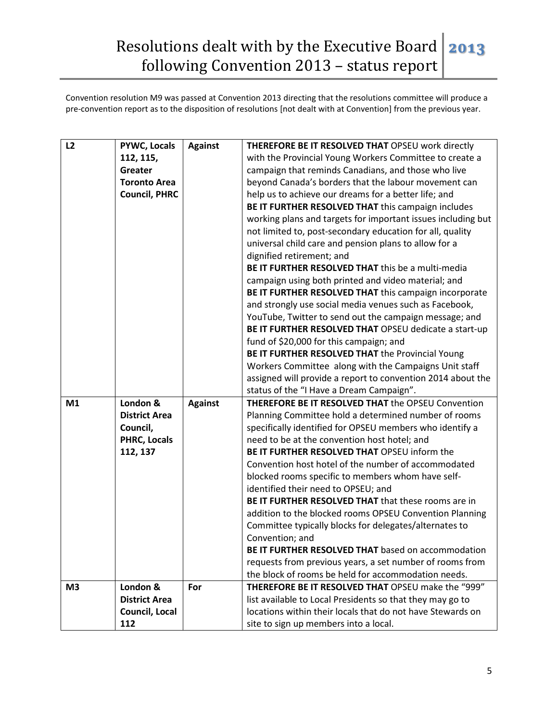## Resolutions dealt with by the Executive Board | 2013 following Convention 2013 – status report

| L2 | <b>PYWC, Locals</b>   | <b>Against</b> | THEREFORE BE IT RESOLVED THAT OPSEU work directly                                                   |
|----|-----------------------|----------------|-----------------------------------------------------------------------------------------------------|
|    | 112, 115,             |                | with the Provincial Young Workers Committee to create a                                             |
|    | Greater               |                | campaign that reminds Canadians, and those who live                                                 |
|    | <b>Toronto Area</b>   |                | beyond Canada's borders that the labour movement can                                                |
|    | <b>Council, PHRC</b>  |                | help us to achieve our dreams for a better life; and                                                |
|    |                       |                | BE IT FURTHER RESOLVED THAT this campaign includes                                                  |
|    |                       |                | working plans and targets for important issues including but                                        |
|    |                       |                | not limited to, post-secondary education for all, quality                                           |
|    |                       |                | universal child care and pension plans to allow for a                                               |
|    |                       |                | dignified retirement; and                                                                           |
|    |                       |                | BE IT FURTHER RESOLVED THAT this be a multi-media                                                   |
|    |                       |                | campaign using both printed and video material; and                                                 |
|    |                       |                | BE IT FURTHER RESOLVED THAT this campaign incorporate                                               |
|    |                       |                | and strongly use social media venues such as Facebook,                                              |
|    |                       |                | YouTube, Twitter to send out the campaign message; and                                              |
|    |                       |                | BE IT FURTHER RESOLVED THAT OPSEU dedicate a start-up                                               |
|    |                       |                | fund of \$20,000 for this campaign; and                                                             |
|    |                       |                | BE IT FURTHER RESOLVED THAT the Provincial Young                                                    |
|    |                       |                | Workers Committee along with the Campaigns Unit staff                                               |
|    |                       |                | assigned will provide a report to convention 2014 about the                                         |
|    |                       |                | status of the "I Have a Dream Campaign".                                                            |
| M1 | London &              | <b>Against</b> | <b>THEREFORE BE IT RESOLVED THAT the OPSEU Convention</b>                                           |
|    | <b>District Area</b>  |                | Planning Committee hold a determined number of rooms                                                |
|    | Council,              |                | specifically identified for OPSEU members who identify a                                            |
|    | PHRC, Locals          |                | need to be at the convention host hotel; and                                                        |
|    | 112, 137              |                | BE IT FURTHER RESOLVED THAT OPSEU inform the                                                        |
|    |                       |                | Convention host hotel of the number of accommodated                                                 |
|    |                       |                | blocked rooms specific to members whom have self-                                                   |
|    |                       |                | identified their need to OPSEU; and                                                                 |
|    |                       |                | BE IT FURTHER RESOLVED THAT that these rooms are in                                                 |
|    |                       |                |                                                                                                     |
|    |                       |                | addition to the blocked rooms OPSEU Convention Planning                                             |
|    |                       |                | Committee typically blocks for delegates/alternates to                                              |
|    |                       |                | Convention; and                                                                                     |
|    |                       |                | BE IT FURTHER RESOLVED THAT based on accommodation                                                  |
|    |                       |                | requests from previous years, a set number of rooms from                                            |
|    |                       |                | the block of rooms be held for accommodation needs.                                                 |
| M3 | London &              | For            | THEREFORE BE IT RESOLVED THAT OPSEU make the "999"                                                  |
|    | <b>District Area</b>  |                | list available to Local Presidents so that they may go to                                           |
|    | Council, Local<br>112 |                | locations within their locals that do not have Stewards on<br>site to sign up members into a local. |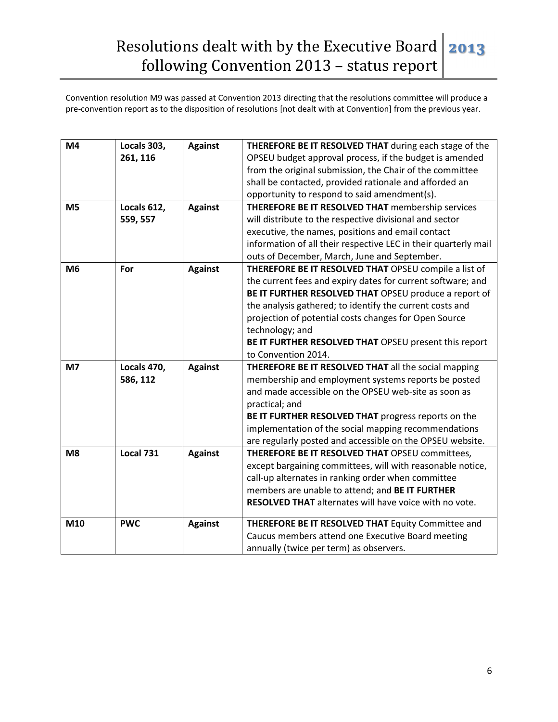| M4             | Locals 303,<br>261, 116 | <b>Against</b> | THEREFORE BE IT RESOLVED THAT during each stage of the<br>OPSEU budget approval process, if the budget is amended<br>from the original submission, the Chair of the committee<br>shall be contacted, provided rationale and afforded an<br>opportunity to respond to said amendment(s).                                                                                                               |
|----------------|-------------------------|----------------|-------------------------------------------------------------------------------------------------------------------------------------------------------------------------------------------------------------------------------------------------------------------------------------------------------------------------------------------------------------------------------------------------------|
| M <sub>5</sub> | Locals 612,<br>559, 557 | <b>Against</b> | THEREFORE BE IT RESOLVED THAT membership services<br>will distribute to the respective divisional and sector<br>executive, the names, positions and email contact<br>information of all their respective LEC in their quarterly mail<br>outs of December, March, June and September.                                                                                                                  |
| M <sub>6</sub> | For                     | <b>Against</b> | THEREFORE BE IT RESOLVED THAT OPSEU compile a list of<br>the current fees and expiry dates for current software; and<br>BE IT FURTHER RESOLVED THAT OPSEU produce a report of<br>the analysis gathered; to identify the current costs and<br>projection of potential costs changes for Open Source<br>technology; and<br>BE IT FURTHER RESOLVED THAT OPSEU present this report<br>to Convention 2014. |
| M <sub>7</sub> | Locals 470,<br>586, 112 | <b>Against</b> | THEREFORE BE IT RESOLVED THAT all the social mapping<br>membership and employment systems reports be posted<br>and made accessible on the OPSEU web-site as soon as<br>practical; and<br>BE IT FURTHER RESOLVED THAT progress reports on the<br>implementation of the social mapping recommendations<br>are regularly posted and accessible on the OPSEU website.                                     |
| M <sub>8</sub> | <b>Local 731</b>        | <b>Against</b> | THEREFORE BE IT RESOLVED THAT OPSEU committees,<br>except bargaining committees, will with reasonable notice,<br>call-up alternates in ranking order when committee<br>members are unable to attend; and BE IT FURTHER<br>RESOLVED THAT alternates will have voice with no vote.                                                                                                                      |
| M10            | <b>PWC</b>              | <b>Against</b> | THEREFORE BE IT RESOLVED THAT Equity Committee and<br>Caucus members attend one Executive Board meeting<br>annually (twice per term) as observers.                                                                                                                                                                                                                                                    |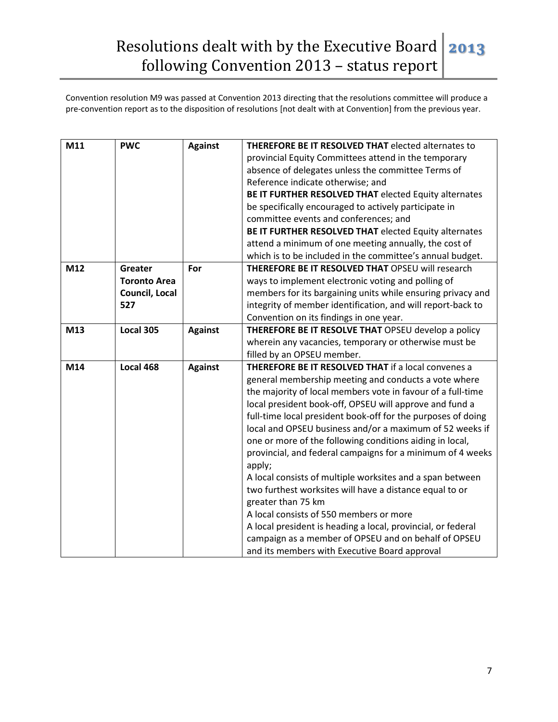## Resolutions dealt with by the Executive Board | 2013 following Convention 2013 – status report

| M11 | <b>PWC</b>          | <b>Against</b> | <b>THEREFORE BE IT RESOLVED THAT elected alternates to</b>                    |
|-----|---------------------|----------------|-------------------------------------------------------------------------------|
|     |                     |                | provincial Equity Committees attend in the temporary                          |
|     |                     |                | absence of delegates unless the committee Terms of                            |
|     |                     |                | Reference indicate otherwise; and                                             |
|     |                     |                | BE IT FURTHER RESOLVED THAT elected Equity alternates                         |
|     |                     |                | be specifically encouraged to actively participate in                         |
|     |                     |                | committee events and conferences; and                                         |
|     |                     |                | BE IT FURTHER RESOLVED THAT elected Equity alternates                         |
|     |                     |                | attend a minimum of one meeting annually, the cost of                         |
|     |                     |                | which is to be included in the committee's annual budget.                     |
| M12 | Greater             | For            | <b>THEREFORE BE IT RESOLVED THAT OPSEU will research</b>                      |
|     | <b>Toronto Area</b> |                | ways to implement electronic voting and polling of                            |
|     | Council, Local      |                | members for its bargaining units while ensuring privacy and                   |
|     | 527                 |                | integrity of member identification, and will report-back to                   |
|     |                     |                | Convention on its findings in one year.                                       |
| M13 | Local 305           | <b>Against</b> | THEREFORE BE IT RESOLVE THAT OPSEU develop a policy                           |
|     |                     |                | wherein any vacancies, temporary or otherwise must be                         |
|     |                     |                | filled by an OPSEU member.                                                    |
| M14 | Local 468           | <b>Against</b> | THEREFORE BE IT RESOLVED THAT if a local convenes a                           |
|     |                     |                | general membership meeting and conducts a vote where                          |
|     |                     |                | the majority of local members vote in favour of a full-time                   |
|     |                     |                | local president book-off, OPSEU will approve and fund a                       |
|     |                     |                | full-time local president book-off for the purposes of doing                  |
|     |                     |                | local and OPSEU business and/or a maximum of 52 weeks if                      |
|     |                     |                | one or more of the following conditions aiding in local,                      |
|     |                     |                | provincial, and federal campaigns for a minimum of 4 weeks                    |
|     |                     |                | apply;                                                                        |
|     |                     |                | A local consists of multiple worksites and a span between                     |
|     |                     |                | two furthest worksites will have a distance equal to or<br>greater than 75 km |
|     |                     |                | A local consists of 550 members or more                                       |
|     |                     |                | A local president is heading a local, provincial, or federal                  |
|     |                     |                | campaign as a member of OPSEU and on behalf of OPSEU                          |
|     |                     |                | and its members with Executive Board approval                                 |